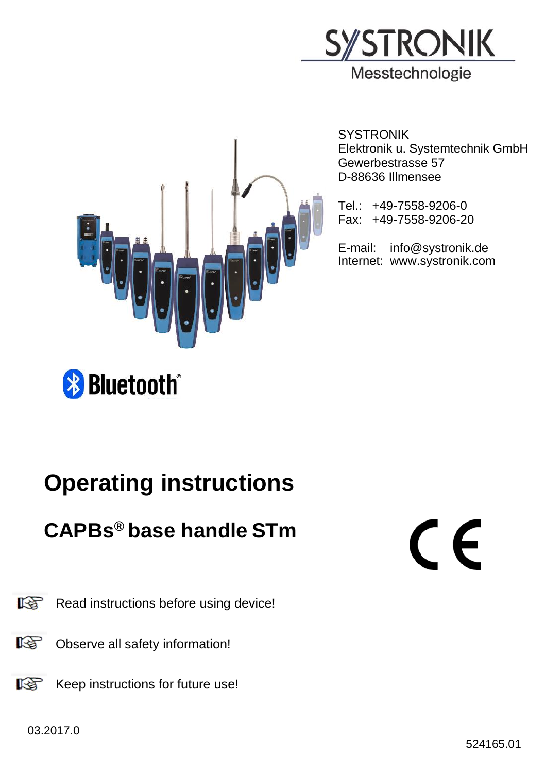



**SYSTRONIK** Elektronik u. Systemtechnik GmbH Gewerbestrasse 57 D-88636 Illmensee

Tel.: +49-7558-9206-0 Fax: +49-7558-9206-20

E-mail: info@systronik.de Internet: www.systronik.com

## **& Bluetooth**®

## Operating instructions

## CAPBs® base handle STm

# $\epsilon$

图 Read instructions before using device!

- $\mathbb{R}$ Observe all safety information!
- 隐 Keep instructions for future use!

03.2017.0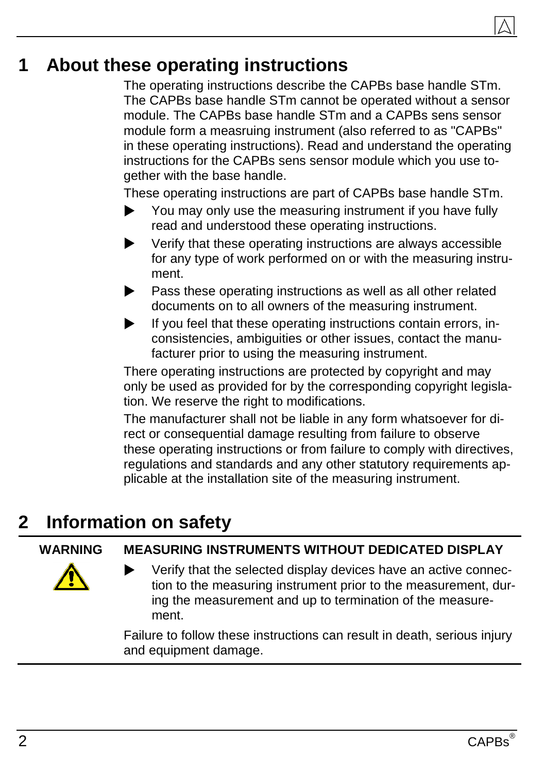#### 1 About these operating instructions

The operating instructions describe the CAPBs base handle STm. The CAPBs base handle STm cannot be operated without a sensor module. The CAPBs base handle STm and a CAPBs sens sensor module form a measruing instrument (also referred to as "CAPBs" in these operating instructions). Read and understand the operating instructions for the CAPBs sens sensor module which you use together with the base handle.

These operating instructions are part of CAPBs base handle STm.

- You may only use the measuring instrument if you have fully read and understood these operating instructions.
- Verify that these operating instructions are always accessible for any type of work performed on or with the measuring instrument.
- Pass these operating instructions as well as all other related documents on to all owners of the measuring instrument.
- $\blacktriangleright$  If you feel that these operating instructions contain errors, inconsistencies, ambiguities or other issues, contact the manufacturer prior to using the measuring instrument.

There operating instructions are protected by copyright and may only be used as provided for by the corresponding copyright legislation. We reserve the right to modifications.

The manufacturer shall not be liable in any form whatsoever for direct or consequential damage resulting from failure to observe these operating instructions or from failure to comply with directives, regulations and standards and any other statutory requirements applicable at the installation site of the measuring instrument.

#### 2 Information on safety

WARNING MEASURING INSTRUMENTS WITHOUT DEDICATED DISPLAY

 Verify that the selected display devices have an active connection to the measuring instrument prior to the measurement, during the measurement and up to termination of the measurement.

Failure to follow these instructions can result in death, serious injury and equipment damage.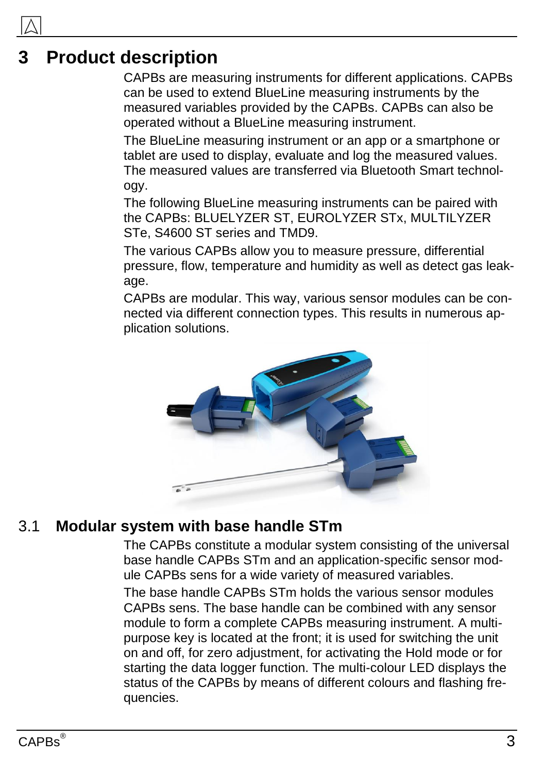#### **Product description**

CAPBs are measuring instruments for different applications. CAPBs can be used to extend BlueLine measuring instruments by the measured variables provided by the CAPBs. CAPBs can also be operated without a BlueLine measuring instrument.

The BlueLine measuring instrument or an app or a smartphone or tablet are used to display, evaluate and log the measured values. The measured values are transferred via Bluetooth Smart technology.

The following BlueLine measuring instruments can be paired with the CAPBs: BLUELYZER ST, EUROLYZER STx, MULTILYZER STe, S4600 ST series and TMD9.

The various CAPBs allow you to measure pressure, differential pressure, flow, temperature and humidity as well as detect gas leakage.

CAPBs are modular. This way, various sensor modules can be connected via different connection types. This results in numerous application solutions.



#### 3.1 Modular system with base handle STm

The CAPBs constitute a modular system consisting of the universal base handle CAPBs STm and an application-specific sensor module CAPBs sens for a wide variety of measured variables.

The base handle CAPBs STm holds the various sensor modules CAPBs sens. The base handle can be combined with any sensor module to form a complete CAPBs measuring instrument. A multipurpose key is located at the front; it is used for switching the unit on and off, for zero adjustment, for activating the Hold mode or for starting the data logger function. The multi-colour LED displays the status of the CAPBs by means of different colours and flashing frequencies.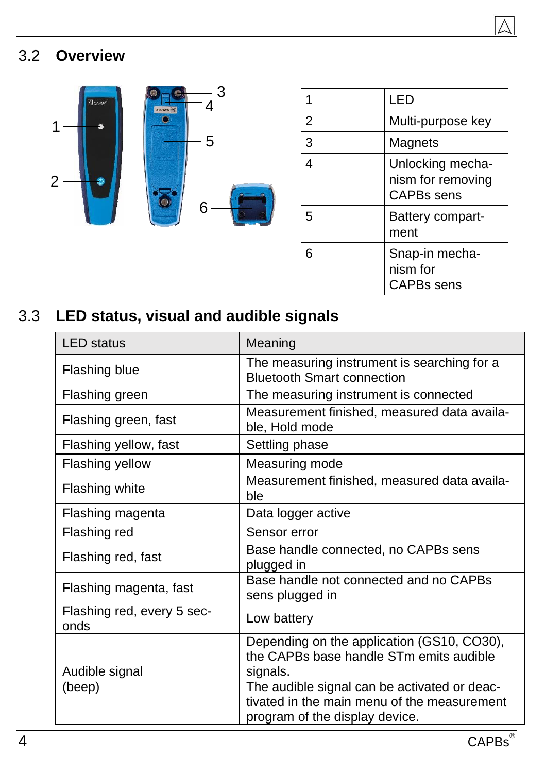### 3.2 Overview



|   | LED                                                 |
|---|-----------------------------------------------------|
| 2 | Multi-purpose key                                   |
| 3 | Magnets                                             |
| 4 | Unlocking mecha-<br>nism for removing<br>CAPBs sens |
| 5 | Battery compart-<br>ment                            |
| 6 | Snap-in mecha-<br>nism for<br>CAPBs sens            |

#### 3.3 LED status, visual and audible signals

| <b>LED</b> status                  | Meaning                                                                                                                                                                                                                            |
|------------------------------------|------------------------------------------------------------------------------------------------------------------------------------------------------------------------------------------------------------------------------------|
| Flashing blue                      | The measuring instrument is searching for a<br><b>Bluetooth Smart connection</b>                                                                                                                                                   |
| Flashing green                     | The measuring instrument is connected                                                                                                                                                                                              |
| Flashing green, fast               | Measurement finished, measured data availa-<br>ble, Hold mode                                                                                                                                                                      |
| Flashing yellow, fast              | Settling phase                                                                                                                                                                                                                     |
| Flashing yellow                    | Measuring mode                                                                                                                                                                                                                     |
| Flashing white                     | Measurement finished, measured data availa-<br>ble                                                                                                                                                                                 |
| Flashing magenta                   | Data logger active                                                                                                                                                                                                                 |
| Flashing red                       | Sensor error                                                                                                                                                                                                                       |
| Flashing red, fast                 | Base handle connected, no CAPBs sens<br>plugged in                                                                                                                                                                                 |
| Flashing magenta, fast             | Base handle not connected and no CAPBs<br>sens plugged in                                                                                                                                                                          |
| Flashing red, every 5 sec-<br>onds | Low battery                                                                                                                                                                                                                        |
| Audible signal<br>(beep)           | Depending on the application (GS10, CO30),<br>the CAPBs base handle STm emits audible<br>signals.<br>The audible signal can be activated or deac-<br>tivated in the main menu of the measurement<br>program of the display device. |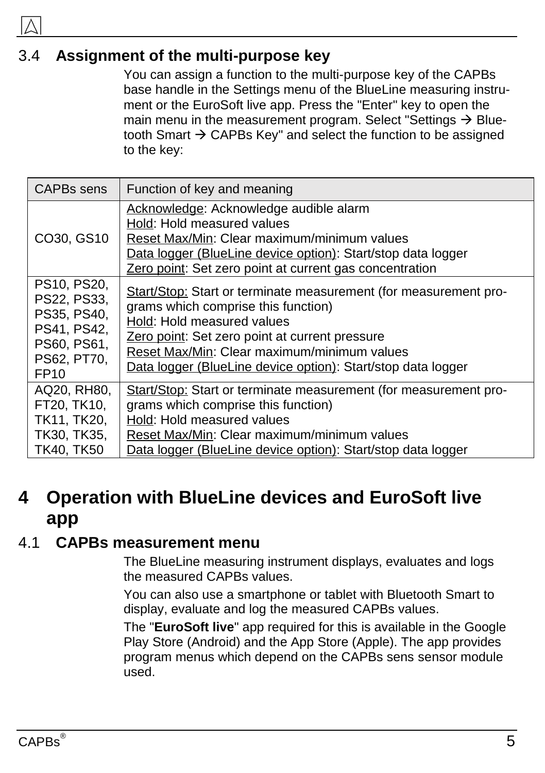#### 3.4 Assignment of the multi-purpose key

You can assign a function to the multi-purpose key of the CAPBs base handle in the Settings menu of the BlueLine measuring instrument or the EuroSoft live app. Press the "Enter" key to open the main menu in the measurement program. Select "Settings  $\rightarrow$  Bluetooth Smart  $\rightarrow$  CAPBs Key" and select the function to be assigned to the key:

| CAPBs sens                                                                                                 | Function of key and meaning                                                                                                                                                                                                                                                                            |
|------------------------------------------------------------------------------------------------------------|--------------------------------------------------------------------------------------------------------------------------------------------------------------------------------------------------------------------------------------------------------------------------------------------------------|
| CO30, GS10                                                                                                 | Acknowledge: Acknowledge audible alarm<br>Hold: Hold measured values<br>Reset Max/Min: Clear maximum/minimum values<br>Data logger (BlueLine device option): Start/stop data logger<br>Zero point: Set zero point at current gas concentration                                                         |
| PS10, PS20,<br>PS22, PS33,<br>PS35, PS40,<br>PS41, PS42,<br>PS60, PS61,<br>PS62, PT70,<br>FP <sub>10</sub> | Start/Stop: Start or terminate measurement (for measurement pro-<br>grams which comprise this function)<br>Hold: Hold measured values<br>Zero point: Set zero point at current pressure<br>Reset Max/Min: Clear maximum/minimum values<br>Data logger (BlueLine device option): Start/stop data logger |
| AQ20, RH80,<br>FT20, TK10,<br>TK11, TK20,<br>TK30, TK35,<br>TK40, TK50                                     | Start/Stop: Start or terminate measurement (for measurement pro-<br>grams which comprise this function)<br>Hold: Hold measured values<br>Reset Max/Min: Clear maximum/minimum values<br>Data logger (BlueLine device option): Start/stop data logger                                                   |

#### 4 Operation with BlueLine devices and EuroSoft live app

#### 4.1 CAPBs measurement menu

The BlueLine measuring instrument displays, evaluates and logs the measured CAPBs values.

You can also use a smartphone or tablet with Bluetooth Smart to display, evaluate and log the measured CAPBs values.

The "EuroSoft live" app required for this is available in the Google Play Store (Android) and the App Store (Apple). The app provides program menus which depend on the CAPBs sens sensor module used.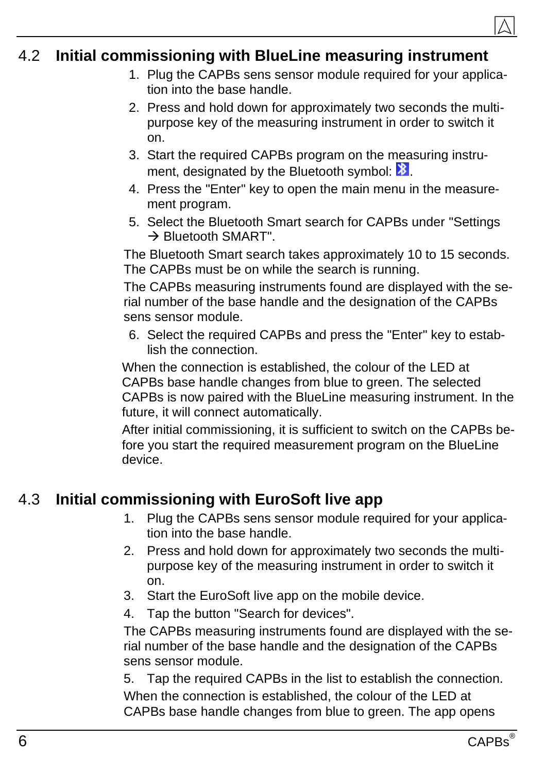#### 4.2 Initial commissioning with BlueLine measuring instrument

- 1. Plug the CAPBs sens sensor module required for your application into the base handle.
- 2. Press and hold down for approximately two seconds the multipurpose key of the measuring instrument in order to switch it on.
- 3. Start the required CAPBs program on the measuring instrument, designated by the Bluetooth symbol:  $\mathbf{B}$ .
- 4. Press the "Enter" key to open the main menu in the measurement program.
- 5. Select the Bluetooth Smart search for CAPBs under "Settings  $\rightarrow$  Bluetooth SMART".

The Bluetooth Smart search takes approximately 10 to 15 seconds. The CAPBs must be on while the search is running.

The CAPBs measuring instruments found are displayed with the serial number of the base handle and the designation of the CAPBs sens sensor module.

6. Select the required CAPBs and press the "Enter" key to establish the connection.

When the connection is established, the colour of the LED at CAPBs base handle changes from blue to green. The selected CAPBs is now paired with the BlueLine measuring instrument. In the future, it will connect automatically.

After initial commissioning, it is sufficient to switch on the CAPBs before you start the required measurement program on the BlueLine device.

#### 4.3 Initial commissioning with EuroSoft live app

- 1. Plug the CAPBs sens sensor module required for your application into the base handle.
- 2. Press and hold down for approximately two seconds the multipurpose key of the measuring instrument in order to switch it on.
- 3. Start the EuroSoft live app on the mobile device.
- 4. Tap the button "Search for devices".

The CAPBs measuring instruments found are displayed with the serial number of the base handle and the designation of the CAPBs sens sensor module.

5. Tap the required CAPBs in the list to establish the connection. When the connection is established, the colour of the LED at CAPBs base handle changes from blue to green. The app opens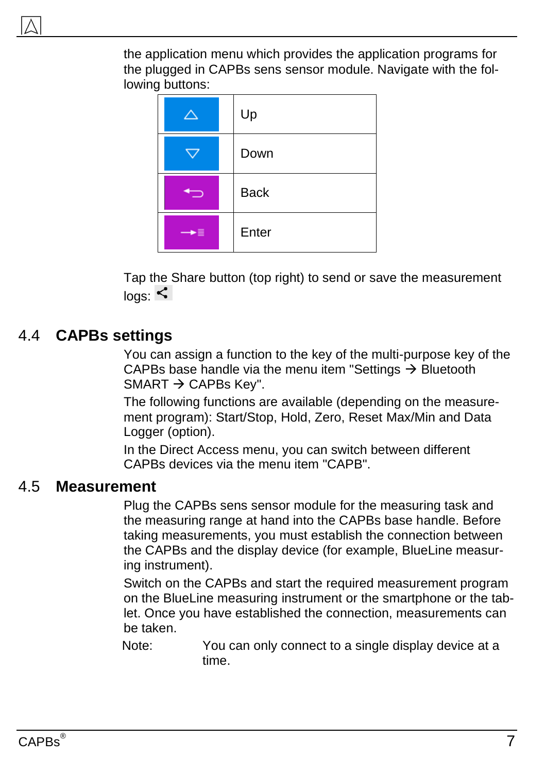the application menu which provides the application programs for the plugged in CAPBs sens sensor module. Navigate with the following buttons:



Tap the Share button (top right) to send or save the measurement  $log_{10}$ 

#### 4.4 CAPBs settings

You can assign a function to the key of the multi-purpose key of the CAPBs base handle via the menu item "Settings  $\rightarrow$  Bluetooth SMART  $\rightarrow$  CAPBs Key".

The following functions are available (depending on the measurement program): Start/Stop, Hold, Zero, Reset Max/Min and Data Logger (option).

In the Direct Access menu, you can switch between different CAPBs devices via the menu item "CAPB".

#### 4.5 Measurement

Plug the CAPBs sens sensor module for the measuring task and the measuring range at hand into the CAPBs base handle. Before taking measurements, you must establish the connection between the CAPBs and the display device (for example, BlueLine measuring instrument).

Switch on the CAPBs and start the required measurement program on the BlueLine measuring instrument or the smartphone or the tablet. Once you have established the connection, measurements can be taken.

Note: You can only connect to a single display device at a time.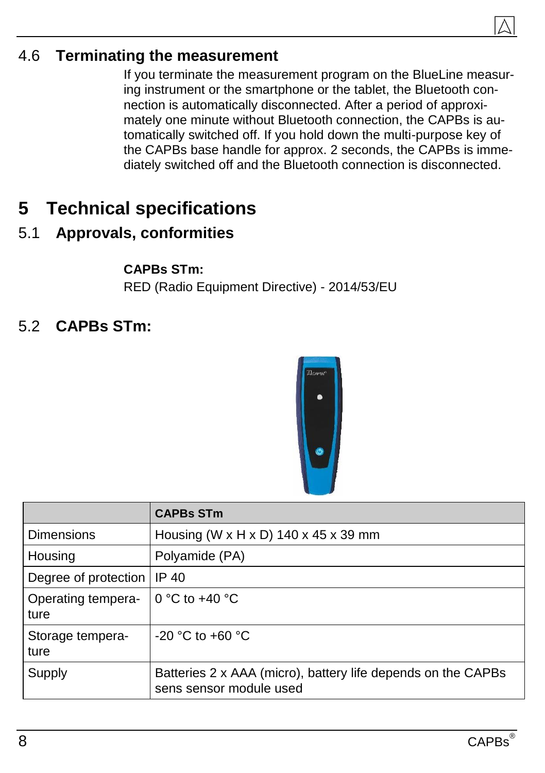

#### 4.6 Terminating the measurement

If you terminate the measurement program on the BlueLine measuring instrument or the smartphone or the tablet, the Bluetooth connection is automatically disconnected. After a period of approximately one minute without Bluetooth connection, the CAPBs is automatically switched off. If you hold down the multi-purpose key of the CAPBs base handle for approx. 2 seconds, the CAPBs is immediately switched off and the Bluetooth connection is disconnected.

#### 5 Technical specifications

#### 5.1 Approvals, conformities

CAPBs STm: RED (Radio Equipment Directive) - 2014/53/EU

5.2 CAPBs STm:



|                            | CAPBs STm                                                                               |
|----------------------------|-----------------------------------------------------------------------------------------|
| Dimensions                 | Housing (W x H x D) 140 x 45 x 39 mm                                                    |
| Housing                    | Polyamide (PA)                                                                          |
| Degree of protection       | IP 40                                                                                   |
| Operating tempera-<br>ture | 0 °C to $+40$ °C                                                                        |
| Storage tempera-<br>ture   | -20 °C to +60 °C                                                                        |
| Supply                     | Batteries 2 x AAA (micro), battery life depends on the CAPBs<br>sens sensor module used |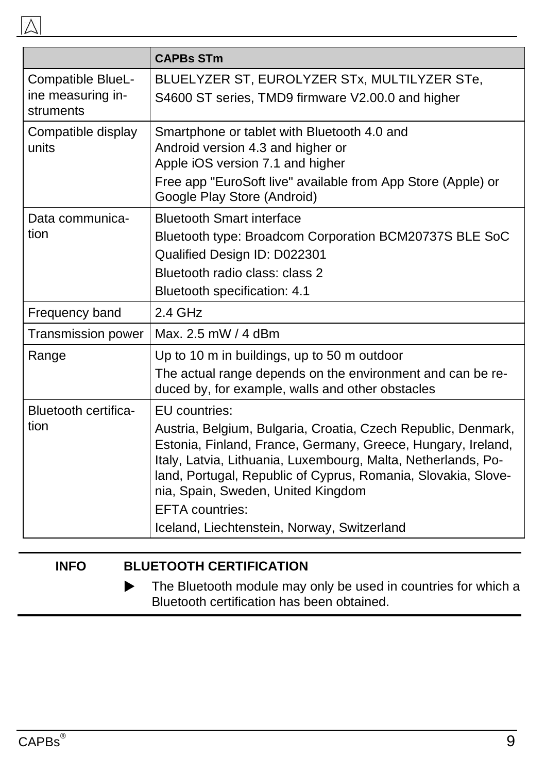|                                                     | <b>CAPBs STm</b>                                                                                                                                                                                                                                                                                                                                                                                |
|-----------------------------------------------------|-------------------------------------------------------------------------------------------------------------------------------------------------------------------------------------------------------------------------------------------------------------------------------------------------------------------------------------------------------------------------------------------------|
| Compatible BlueL-<br>ine measuring in-<br>struments | BLUELYZER ST, EUROLYZER STx, MULTILYZER STe,<br>S4600 ST series, TMD9 firmware V2.00.0 and higher                                                                                                                                                                                                                                                                                               |
| Compatible display<br>units                         | Smartphone or tablet with Bluetooth 4.0 and<br>Android version 4.3 and higher or<br>Apple iOS version 7.1 and higher<br>Free app "EuroSoft live" available from App Store (Apple) or<br>Google Play Store (Android)                                                                                                                                                                             |
| Data communica-<br>tion                             | <b>Bluetooth Smart interface</b><br>Bluetooth type: Broadcom Corporation BCM20737S BLE SoC<br>Qualified Design ID: D022301<br>Bluetooth radio class: class 2<br>Bluetooth specification: 4.1                                                                                                                                                                                                    |
| Frequency band                                      | $2.4$ GHz                                                                                                                                                                                                                                                                                                                                                                                       |
| <b>Transmission power</b>                           | Max. 2.5 mW / 4 dBm                                                                                                                                                                                                                                                                                                                                                                             |
| Range                                               | Up to 10 m in buildings, up to 50 m outdoor<br>The actual range depends on the environment and can be re-<br>duced by, for example, walls and other obstacles                                                                                                                                                                                                                                   |
| Bluetooth certifica-<br>tion                        | EU countries:<br>Austria, Belgium, Bulgaria, Croatia, Czech Republic, Denmark,<br>Estonia, Finland, France, Germany, Greece, Hungary, Ireland,<br>Italy, Latvia, Lithuania, Luxembourg, Malta, Netherlands, Po-<br>land, Portugal, Republic of Cyprus, Romania, Slovakia, Slove-<br>nia, Spain, Sweden, United Kingdom<br><b>EFTA</b> countries:<br>Iceland, Liechtenstein, Norway, Switzerland |

#### INFO BLUETOOTH CERTIFICATION

The Bluetooth module may only be used in countries for which a Bluetooth certification has been obtained.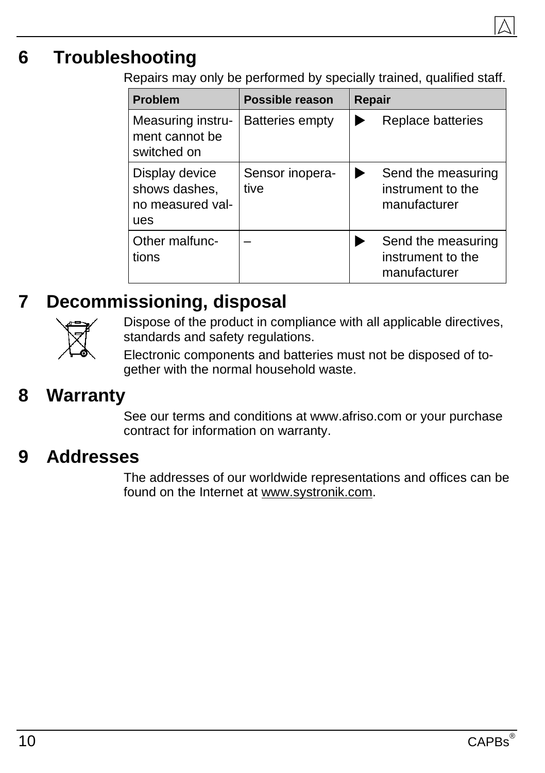#### 6 Troubleshooting

Repairs may only be performed by specially trained, qualified staff.

| Problem                                                    | Possible reason         | Repair |                                                         |
|------------------------------------------------------------|-------------------------|--------|---------------------------------------------------------|
| Measuring instru-<br>ment cannot be<br>switched on         | <b>Batteries empty</b>  |        | Replace batteries                                       |
| Display device<br>shows dashes,<br>no measured val-<br>ues | Sensor inopera-<br>tive |        | Send the measuring<br>instrument to the<br>manufacturer |
| Other malfunc-<br>tions                                    |                         |        | Send the measuring<br>instrument to the<br>manufacturer |

#### 7 Decommissioning, disposal



Dispose of the product in compliance with all applicable directives, standards and safety regulations.

Electronic components and batteries must not be disposed of together with the normal household waste.

#### 8 Warranty

See our terms and conditions at www.afriso.com or your purchase contract for information on warranty.

#### 9 Addresses

The addresses of our worldwide representations and offices can be found on the Internet at [www.systronik.com.](http://www.systronik.com/)